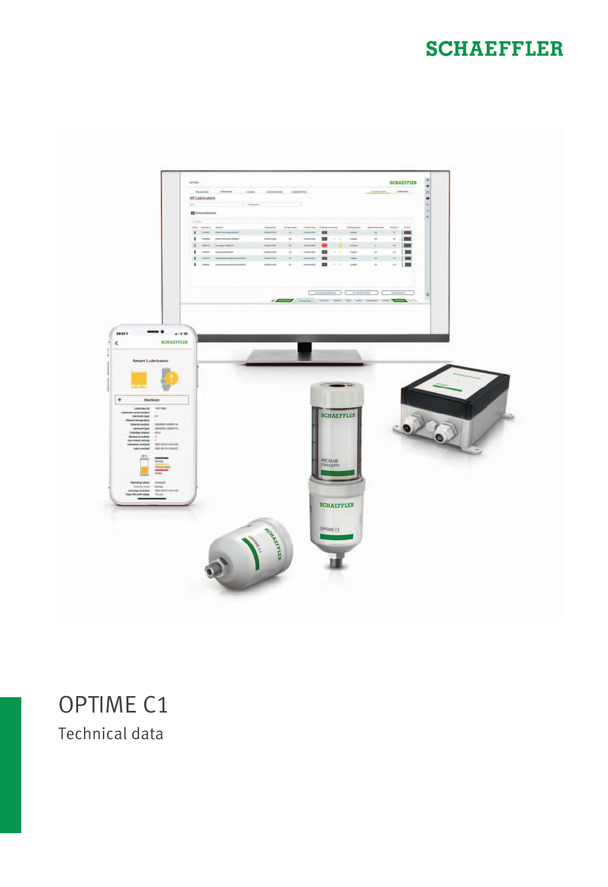# **SCHAEFFLER**



# OPTIME C1 Technical data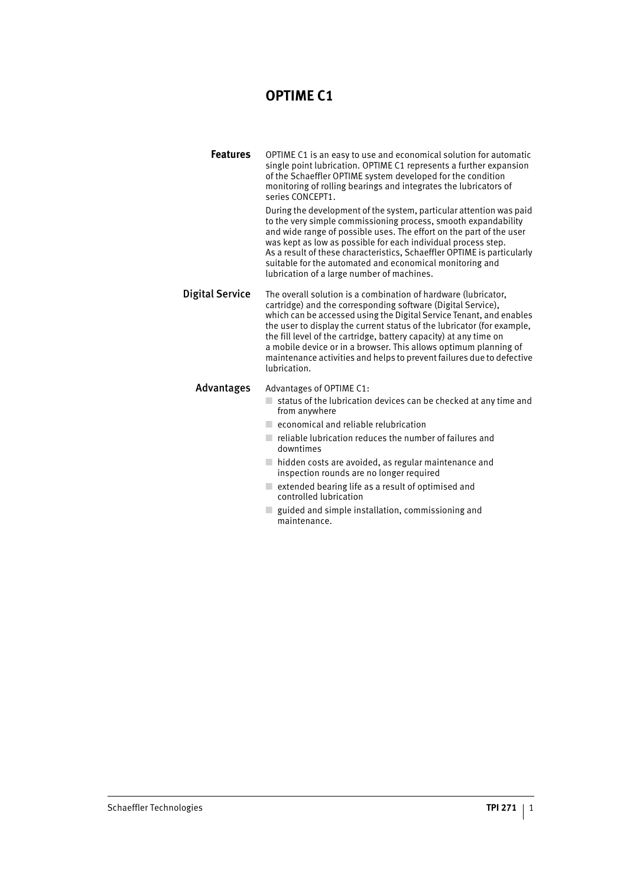### **OPTIME C1**

**Features** OPTIME C1 is an easy to use and economical solution for automatic single point lubrication. OPTIME C1 represents a further expansion of the Schaeffler OPTIME system developed for the condition monitoring of rolling bearings and integrates the lubricators of series CONCEPT1.

> During the development of the system, particular attention was paid to the very simple commissioning process, smooth expandability and wide range of possible uses. The effort on the part of the user was kept as low as possible for each individual process step. As a result of these characteristics, Schaeffler OPTIME is particularly suitable for the automated and economical monitoring and lubrication of a large number of machines.

Digital Service The overall solution is a combination of hardware (lubricator, cartridge) and the corresponding software (Digital Service), which can be accessed using the Digital Service Tenant, and enables the user to display the current status of the lubricator (for example, the fill level of the cartridge, battery capacity) at any time on a mobile device or in a browser. This allows optimum planning of maintenance activities and helps to prevent failures due to defective lubrication.

#### Advantages Advantages of OPTIME C1:

- $\Box$  status of the lubrication devices can be checked at any time and from anywhere
- economical and reliable relubrication
- $\blacksquare$  reliable lubrication reduces the number of failures and downtimes
- $\Box$  hidden costs are avoided, as regular maintenance and inspection rounds are no longer required
- $\Box$  extended bearing life as a result of optimised and controlled lubrication
- $\Box$  guided and simple installation, commissioning and maintenance.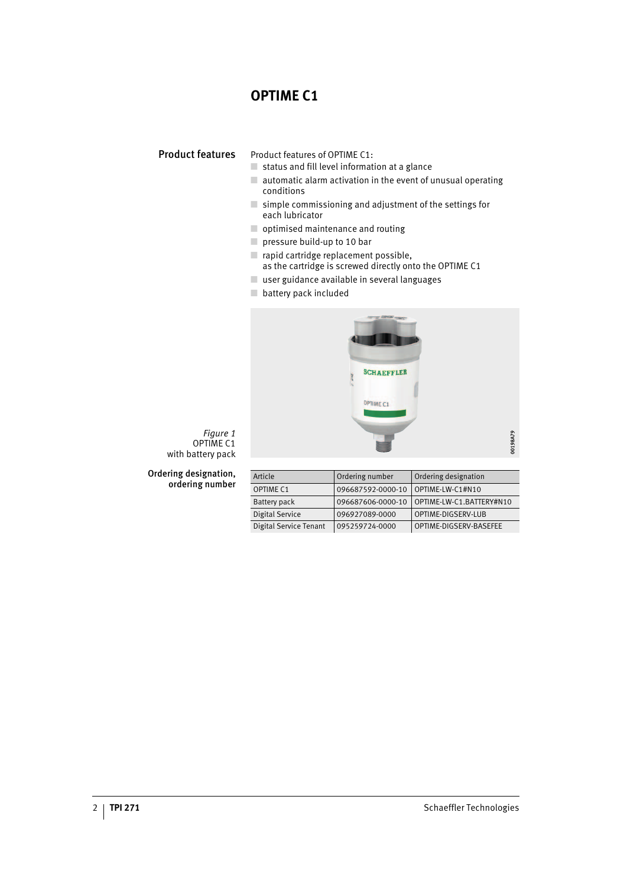## **OPTIME C1**

Product features Product features of OPTIME C1:

- status and fill level information at a glance
- $\Box$  automatic alarm activation in the event of unusual operating conditions
- $\Box$  simple commissioning and adjustment of the settings for each lubricator
- optimised maintenance and routing
- pressure build-up to 10 bar
- rapid cartridge replacement possible, as the cartridge is screwed directly onto the OPTIME C1
- user guidance available in several languages
- battery pack included



*Figure 1* OPTIME C1 with battery pack

Ordering designation, ordering number

| Article                | Ordering number   | Ordering designation     |
|------------------------|-------------------|--------------------------|
| <b>OPTIME C1</b>       | 096687592-0000-10 | OPTIME-LW-C1#N10         |
| Battery pack           | 096687606-0000-10 | OPTIME-LW-C1.BATTERY#N10 |
| Digital Service        | 096927089-0000    | OPTIME-DIGSERV-LUB       |
| Digital Service Tenant | 095259724-0000    | OPTIME-DIGSERV-BASEFEE   |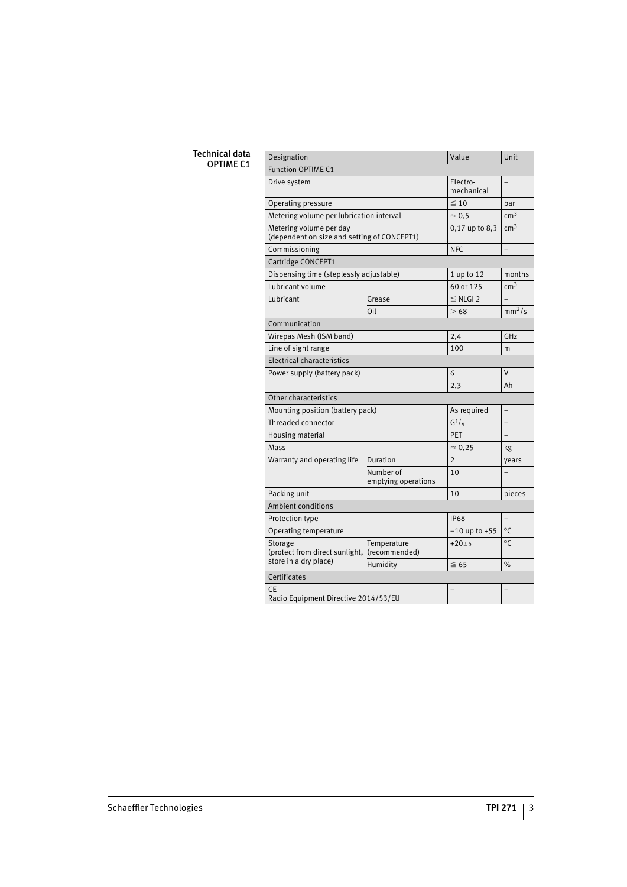#### Technical data **OPTIME C1**

| Designation                                                            |                        | Unit                                       |
|------------------------------------------------------------------------|------------------------|--------------------------------------------|
|                                                                        |                        |                                            |
|                                                                        | Electro-<br>mechanical |                                            |
|                                                                        | $\leq 10$              | bar                                        |
| Metering volume per lubrication interval                               | $\approx 0.5$          | cm <sup>3</sup>                            |
| Metering volume per day<br>(dependent on size and setting of CONCEPT1) |                        | cm <sup>3</sup>                            |
| Commissioning                                                          |                        | $\overline{a}$                             |
|                                                                        |                        |                                            |
| Dispensing time (steplessly adjustable)                                | 1 up to 12             | months                                     |
|                                                                        | 60 or 125              | cm <sup>3</sup>                            |
| Grease                                                                 | $\leq$ NLGI 2          |                                            |
| Oil                                                                    | >68                    | $mm^2/s$                                   |
|                                                                        |                        |                                            |
|                                                                        | 2,4                    | GHz                                        |
|                                                                        | 100                    | m                                          |
|                                                                        |                        |                                            |
| Power supply (battery pack)                                            |                        | $\vee$                                     |
|                                                                        | 2,3                    | Ah                                         |
|                                                                        |                        |                                            |
| Mounting position (battery pack)                                       | As required            |                                            |
|                                                                        | $G^{1/4}$              |                                            |
|                                                                        | PET                    |                                            |
|                                                                        | $\approx 0,25$         | kg                                         |
| Duration                                                               | $\overline{2}$         | years                                      |
| Number of<br>emptying operations                                       | 10                     |                                            |
|                                                                        | 10                     | pieces                                     |
|                                                                        |                        |                                            |
|                                                                        | <b>IP68</b>            |                                            |
|                                                                        | $-10$ up to $+55$      | °C                                         |
| Temperature<br>(protect from direct sunlight, (recommended)            | $+20 \pm 5$            | ۰c                                         |
| Humidity                                                               | $\leq 65$              | %                                          |
|                                                                        |                        |                                            |
| <b>CF</b><br>Radio Equipment Directive 2014/53/EU                      |                        |                                            |
|                                                                        |                        | Value<br>0,17 up to 8,3<br><b>NFC</b><br>6 |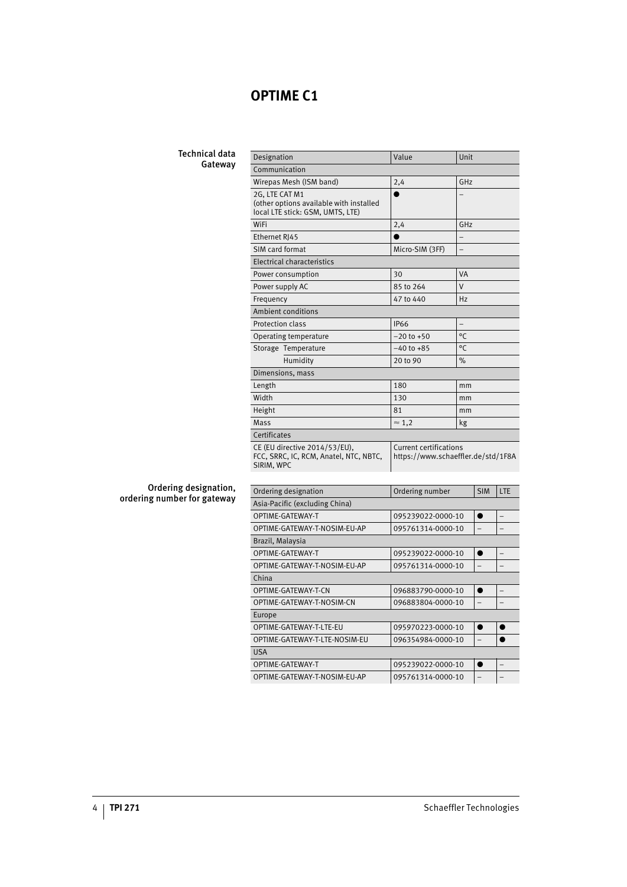### **OPTIME C1**

#### Technical data Gateway

| Designation                                                                                   | Value                                                               | Unit           |  |  |
|-----------------------------------------------------------------------------------------------|---------------------------------------------------------------------|----------------|--|--|
| Communication                                                                                 |                                                                     |                |  |  |
| Wirepas Mesh (ISM band)                                                                       | 2,4                                                                 | GHz            |  |  |
| 2G. LTE CAT M1<br>(other options available with installed<br>local LTE stick: GSM, UMTS, LTE) |                                                                     |                |  |  |
| WiFi                                                                                          | 2,4                                                                 | GHz            |  |  |
| Ethernet RI45                                                                                 |                                                                     |                |  |  |
| SIM card format                                                                               | Micro-SIM (3FF)                                                     | $\overline{a}$ |  |  |
| Electrical characteristics                                                                    |                                                                     |                |  |  |
| Power consumption                                                                             | 30                                                                  | VA             |  |  |
| Power supply AC                                                                               | 85 to 264                                                           | $\vee$         |  |  |
| Frequency                                                                                     | 47 to 440                                                           | Hz             |  |  |
| Ambient conditions                                                                            |                                                                     |                |  |  |
| Protection class                                                                              | <b>IP66</b>                                                         | $\overline{a}$ |  |  |
| Operating temperature                                                                         | $-20$ to $+50$                                                      | $^{\circ}$ C   |  |  |
| Storage Temperature                                                                           | $-40$ to $+85$                                                      | $^{\circ}$     |  |  |
| Humidity                                                                                      | 20 to 90                                                            | $\%$           |  |  |
| Dimensions, mass                                                                              |                                                                     |                |  |  |
| Length                                                                                        | 180                                                                 | mm             |  |  |
| Width                                                                                         | 130                                                                 | mm             |  |  |
| Height                                                                                        | 81                                                                  | mm             |  |  |
| Mass                                                                                          | $\approx$ 1.2                                                       | kg             |  |  |
| Certificates                                                                                  |                                                                     |                |  |  |
| CE (EU directive 2014/53/EU),<br>FCC, SRRC, IC, RCM, Anatel, NTC, NBTC,<br>SIRIM, WPC         | <b>Current certifications</b><br>https://www.schaeffler.de/std/1F8A |                |  |  |

#### Ordering designation, ordering number for gateway

| Ordering designation           | Ordering number   | <b>SIM</b>               | LTE |  |  |
|--------------------------------|-------------------|--------------------------|-----|--|--|
| Asia-Pacific (excluding China) |                   |                          |     |  |  |
| OPTIME-GATEWAY-T               | 095239022-0000-10 | $\bullet$                |     |  |  |
| OPTIME-GATEWAY-T-NOSIM-EU-AP   | 095761314-0000-10 | $\overline{\phantom{0}}$ |     |  |  |
| Brazil, Malaysia               |                   |                          |     |  |  |
| OPTIME-GATEWAY-T               | 095239022-0000-10 |                          |     |  |  |
| OPTIME-GATEWAY-T-NOSIM-EU-AP   | 095761314-0000-10 | $\overline{\phantom{0}}$ |     |  |  |
| China                          |                   |                          |     |  |  |
| OPTIME-GATEWAY-T-CN            | 096883790-0000-10 | $\bullet$                |     |  |  |
| OPTIME-GATEWAY-T-NOSIM-CN      | 096883804-0000-10 | $\overline{\phantom{0}}$ |     |  |  |
| Europe                         |                   |                          |     |  |  |
| OPTIME-GATEWAY-T-LTE-EU        | 095970223-0000-10 | ●                        |     |  |  |
| OPTIME-GATEWAY-T-LTE-NOSIM-EU  | 096354984-0000-10 | $\overline{\phantom{0}}$ |     |  |  |
| <b>USA</b>                     |                   |                          |     |  |  |
| OPTIME-GATEWAY-T               | 095239022-0000-10 | ●                        |     |  |  |
| OPTIME-GATEWAY-T-NOSIM-EU-AP   | 095761314-0000-10 |                          |     |  |  |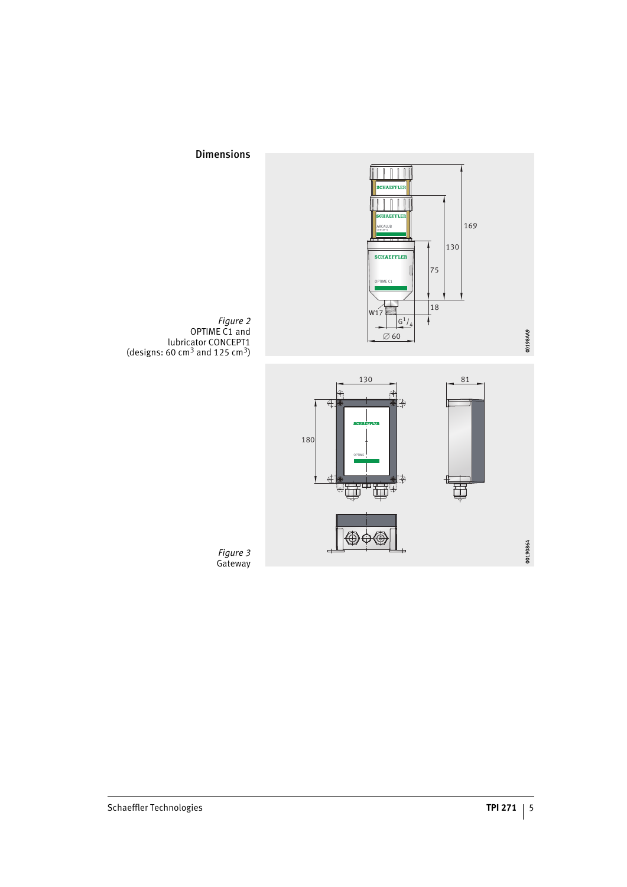